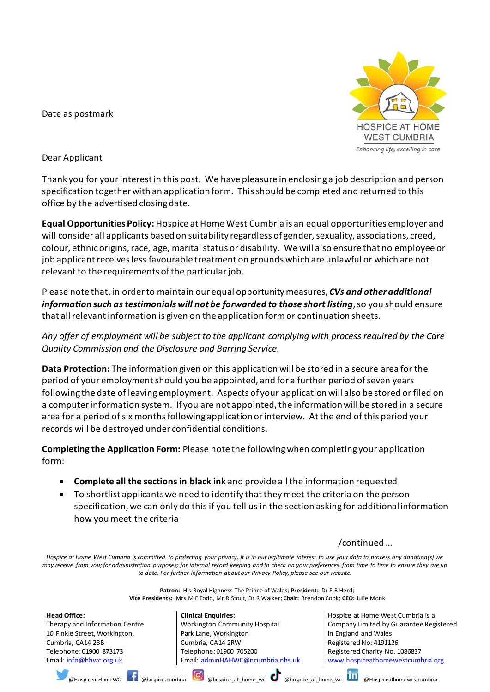Date as postmark



Dear Applicant

Thank you for your interest in this post. We have pleasure in enclosing a job description and person specification together with an application form. This should be completed and returned to this office by the advertised closing date.

**Equal Opportunities Policy:** Hospice at Home West Cumbria is an equal opportunities employer and will consider all applicants based on suitability regardless of gender, sexuality, associations, creed, colour, ethnic origins, race, age, marital status or disability. We will also ensure that no employee or job applicant receives less favourable treatment on grounds which are unlawful or which are not relevant to the requirements of the particular job.

Please note that, in order to maintain our equal opportunity measures, *CVs and other additional information such as testimonials will not be forwarded to those short listing*, so you should ensure that all relevant information is given on the application form or continuation sheets.

*Any offer of employment will be subject to the applicant complying with process required by the Care Quality Commission and the Disclosure and Barring Service.*

**Data Protection:** The information given on this application will be stored in a secure area for the period of your employment should you be appointed, and for a further period of seven years following the date of leaving employment. Aspects of your application will also be stored or filed on a computer information system. If you are not appointed, the information will be stored in a secure area for a period of six months following application or interview. At the end of this period your records will be destroyed under confidential conditions.

**Completing the Application Form:** Please note the following when completing your application form:

- **Complete all the sections in black ink** and provide all the information requested
- To shortlist applicants we need to identify that they meet the criteria on the person specification, we can only do this if you tell us in the section asking for additional information how you meet the criteria

/continued …

*Hospice at Home West Cumbria is committed to protecting your privacy. It is in our legitimate interest to use your data to process any donation(s) we*  may receive from you; for administration purposes; for internal record keeping and to check on your preferences from time to time to ensure they are up *to date. For further information about our Privacy Policy, please see our website.*

> **Patron:** His Royal Highness The Prince of Wales; **President:** Dr E B Herd; **Vice Presidents:** Mrs M E Todd, Mr R Stout, Dr R Walker; **Chair:** Brendon Cook; **CEO:** Julie Monk

**Head Office:** Therapy and Information Centre 10 Finkle Street, Workington, Cumbria, CA14 2BB Telephone: 01900 873173 Email: [info@hhwc.org.uk](mailto:info@hhwc.org.uk)

**Clinical Enquiries:** Workington Community Hospital Park Lane, Workington Cumbria, CA14 2RW Telephone: 01900 705200 Email: [adminHAHWC@ncumbria.nhs.uk](mailto:adminHAHWC@ncumbria.nhs.uk)

Hospice at Home West Cumbria is a Company Limited by Guarantee Registered in England and Wales Registered No: 4191126 Registered Charity No. 1086837 [www.hospiceathomewestcumbria.org](http://www.hospiceathomewestcumbria.org/)

@HospiceatHomeWC @hospice.cumbria @hospice\_at\_home\_wc @hospice\_at\_home\_wc @Hospiceathomewestcumbria